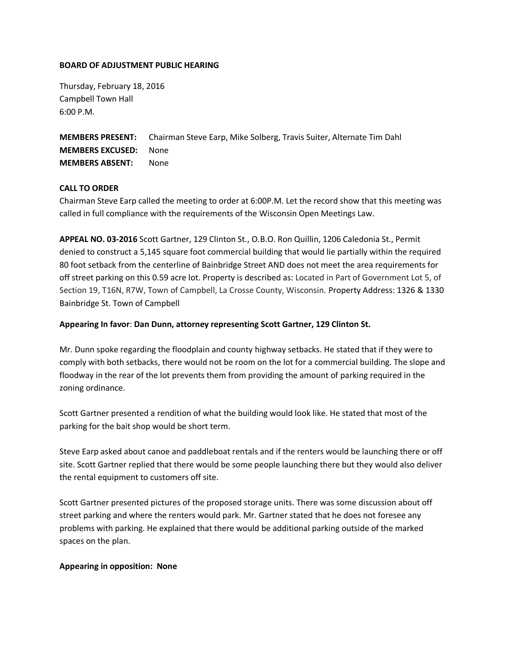### **BOARD OF ADJUSTMENT PUBLIC HEARING**

Thursday, February 18, 2016 Campbell Town Hall 6:00 P.M.

**MEMBERS PRESENT:** Chairman Steve Earp, Mike Solberg, Travis Suiter, Alternate Tim Dahl **MEMBERS EXCUSED:** None **MEMBERS ABSENT:** None

## **CALL TO ORDER**

Chairman Steve Earp called the meeting to order at 6:00P.M. Let the record show that this meeting was called in full compliance with the requirements of the Wisconsin Open Meetings Law.

**APPEAL NO. 03-2016** Scott Gartner, 129 Clinton St., O.B.O. Ron Quillin, 1206 Caledonia St., Permit denied to construct a 5,145 square foot commercial building that would lie partially within the required 80 foot setback from the centerline of Bainbridge Street AND does not meet the area requirements for off street parking on this 0.59 acre lot. Property is described as: Located in Part of Government Lot 5, of Section 19, T16N, R7W, Town of Campbell, La Crosse County, Wisconsin. Property Address: 1326 & 1330 Bainbridge St. Town of Campbell

#### **Appearing In favor**: **Dan Dunn, attorney representing Scott Gartner, 129 Clinton St.**

Mr. Dunn spoke regarding the floodplain and county highway setbacks. He stated that if they were to comply with both setbacks, there would not be room on the lot for a commercial building. The slope and floodway in the rear of the lot prevents them from providing the amount of parking required in the zoning ordinance.

Scott Gartner presented a rendition of what the building would look like. He stated that most of the parking for the bait shop would be short term.

Steve Earp asked about canoe and paddleboat rentals and if the renters would be launching there or off site. Scott Gartner replied that there would be some people launching there but they would also deliver the rental equipment to customers off site.

Scott Gartner presented pictures of the proposed storage units. There was some discussion about off street parking and where the renters would park. Mr. Gartner stated that he does not foresee any problems with parking. He explained that there would be additional parking outside of the marked spaces on the plan.

#### **Appearing in opposition: None**